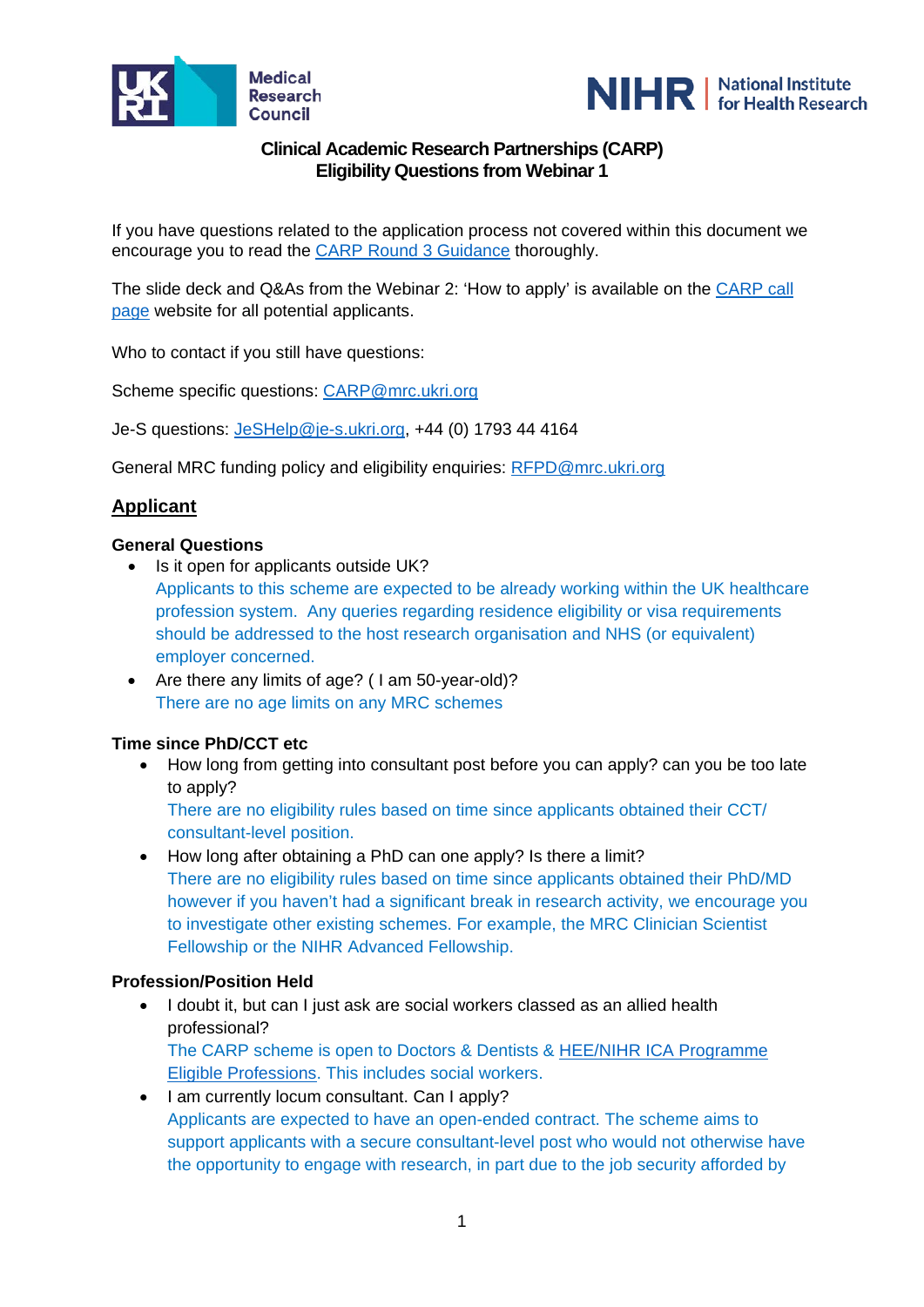



# **Clinical Academic Research Partnerships (CARP) Eligibility Questions from Webinar 1**

If you have questions related to the application process not covered within this document we encourage you to read the [CARP Round 3 Guidance](https://mrc.ukri.org/funding/browse/clinical-academic-research-partnerships/clinical-academic-research-partnerships-round-3-announcement/carp-round-3-guidance-2020/) thoroughly.

The slide deck and Q&As from the Webinar 2: 'How to apply' is available on the [CARP call](https://mrc.ukri.org/funding/browse/clinical-academic-research-partnerships/clinical-academic-research-partnerships-round-3-announcement/is-carp-the-scheme-for-you-july-2020/)  [page](https://mrc.ukri.org/funding/browse/clinical-academic-research-partnerships/clinical-academic-research-partnerships-round-3-announcement/is-carp-the-scheme-for-you-july-2020/) website for all potential applicants.

Who to contact if you still have questions:

Scheme specific questions: [CARP@mrc.ukri.org](mailto:CARP@mrc.ukri.org)

Je-S questions: [JeSHelp@je-s.ukri.org,](mailto:JeSHelp@je-s.ukri.org) +44 (0) 1793 44 4164

General MRC funding policy and eligibility enquiries: [RFPD@mrc.ukri.org](mailto:RFPD@mrc.ukri.org)

## **Applicant**

#### **General Questions**

- Is it open for applicants outside UK?
	- Applicants to this scheme are expected to be already working within the UK healthcare profession system. Any queries regarding residence eligibility or visa requirements should be addressed to the host research organisation and NHS (or equivalent) employer concerned.
- Are there any limits of age? ( I am 50-year-old)? There are no age limits on any MRC schemes

### **Time since PhD/CCT etc**

• How long from getting into consultant post before you can apply? can you be too late to apply?

There are no eligibility rules based on time since applicants obtained their CCT/ consultant-level position.

• How long after obtaining a PhD can one apply? Is there a limit? There are no eligibility rules based on time since applicants obtained their PhD/MD however if you haven't had a significant break in research activity, we encourage you to investigate other existing schemes. For example, the MRC Clinician Scientist Fellowship or the NIHR Advanced Fellowship.

### **Profession/Position Held**

- I doubt it, but can I just ask are social workers classed as an allied health professional? The CARP scheme is open to Doctors & Dentists & [HEE/NIHR ICA Programme](https://www.nihr.ac.uk/documents/heenihr-ica-programme-eligible-professions-and-regulators/12204)  [Eligible Professions.](https://www.nihr.ac.uk/documents/heenihr-ica-programme-eligible-professions-and-regulators/12204) This includes social workers.
- I am currently locum consultant. Can I apply? Applicants are expected to have an open-ended contract. The scheme aims to support applicants with a secure consultant-level post who would not otherwise have the opportunity to engage with research, in part due to the job security afforded by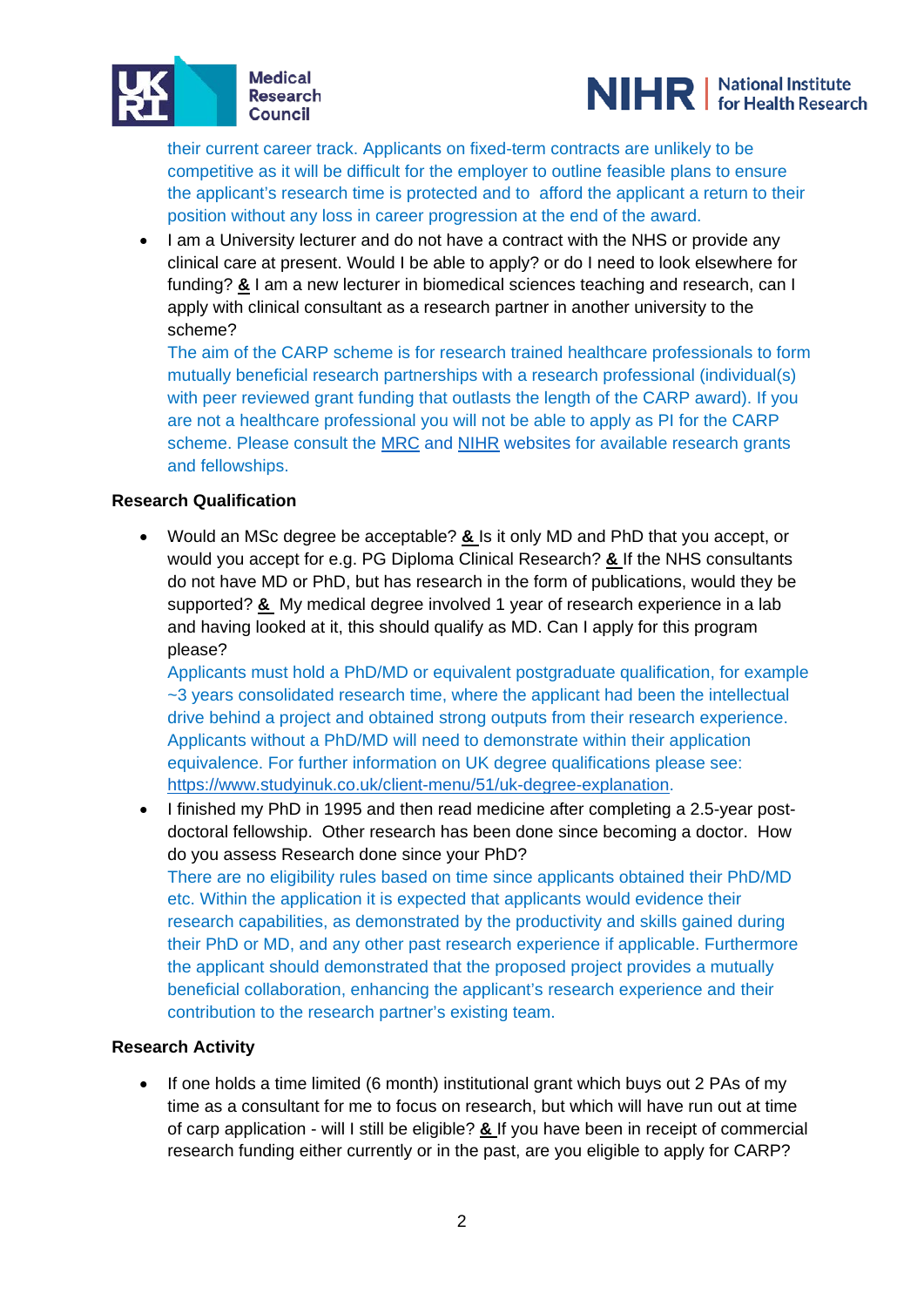



their current career track. Applicants on fixed-term contracts are unlikely to be competitive as it will be difficult for the employer to outline feasible plans to ensure the applicant's research time is protected and to afford the applicant a return to their position without any loss in career progression at the end of the award.

• I am a University lecturer and do not have a contract with the NHS or provide any clinical care at present. Would I be able to apply? or do I need to look elsewhere for funding? **&** I am a new lecturer in biomedical sciences teaching and research, can I apply with clinical consultant as a research partner in another university to the scheme?

The aim of the CARP scheme is for research trained healthcare professionals to form mutually beneficial research partnerships with a research professional (individual(s) with peer reviewed grant funding that outlasts the length of the CARP award). If you are not a healthcare professional you will not be able to apply as PI for the CARP scheme. Please consult the [MRC](https://mrc.ukri.org/) and [NIHR](https://www.nihr.ac.uk/) websites for available research grants and fellowships.

## **Research Qualification**

• Would an MSc degree be acceptable? **&** Is it only MD and PhD that you accept, or would you accept for e.g. PG Diploma Clinical Research? **&** If the NHS consultants do not have MD or PhD, but has research in the form of publications, would they be supported? **&** My medical degree involved 1 year of research experience in a lab and having looked at it, this should qualify as MD. Can I apply for this program please?

Applicants must hold a PhD/MD or equivalent postgraduate qualification, for example ~3 years consolidated research time, where the applicant had been the intellectual drive behind a project and obtained strong outputs from their research experience. Applicants without a PhD/MD will need to demonstrate within their application equivalence. For further information on UK degree qualifications please see: [https://www.studyinuk.co.uk/client-menu/51/uk-degree-explanation.](https://www.studyinuk.co.uk/client-menu/51/uk-degree-explanation)

• I finished my PhD in 1995 and then read medicine after completing a 2.5-year postdoctoral fellowship. Other research has been done since becoming a doctor. How do you assess Research done since your PhD? There are no eligibility rules based on time since applicants obtained their PhD/MD etc. Within the application it is expected that applicants would evidence their research capabilities, as demonstrated by the productivity and skills gained during their PhD or MD, and any other past research experience if applicable. Furthermore the applicant should demonstrated that the proposed project provides a mutually beneficial collaboration, enhancing the applicant's research experience and their contribution to the research partner's existing team.

### **Research Activity**

• If one holds a time limited (6 month) institutional grant which buys out 2 PAs of my time as a consultant for me to focus on research, but which will have run out at time of carp application - will I still be eligible? **&** If you have been in receipt of commercial research funding either currently or in the past, are you eligible to apply for CARP?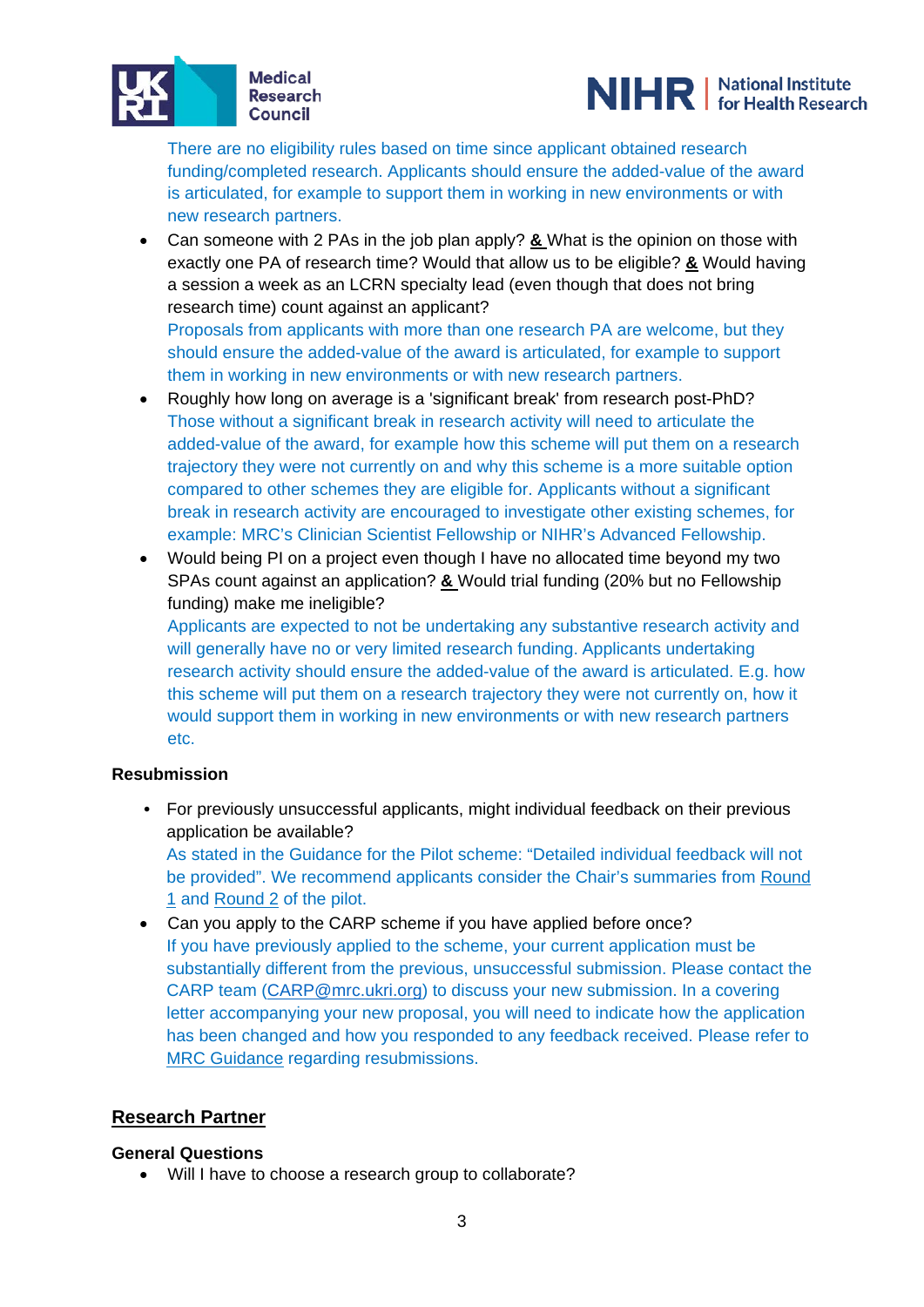



There are no eligibility rules based on time since applicant obtained research funding/completed research. Applicants should ensure the added-value of the award is articulated, for example to support them in working in new environments or with new research partners.

• Can someone with 2 PAs in the job plan apply? **&** What is the opinion on those with exactly one PA of research time? Would that allow us to be eligible? **&** Would having a session a week as an LCRN specialty lead (even though that does not bring research time) count against an applicant?

Proposals from applicants with more than one research PA are welcome, but they should ensure the added-value of the award is articulated, for example to support them in working in new environments or with new research partners.

- Roughly how long on average is a 'significant break' from research post-PhD? Those without a significant break in research activity will need to articulate the added-value of the award, for example how this scheme will put them on a research trajectory they were not currently on and why this scheme is a more suitable option compared to other schemes they are eligible for. Applicants without a significant break in research activity are encouraged to investigate other existing schemes, for example: MRC's Clinician Scientist Fellowship or NIHR's Advanced Fellowship.
- Would being PI on a project even though I have no allocated time beyond my two SPAs count against an application? **&** Would trial funding (20% but no Fellowship funding) make me ineligible?

Applicants are expected to not be undertaking any substantive research activity and will generally have no or very limited research funding. Applicants undertaking research activity should ensure the added-value of the award is articulated. E.g. how this scheme will put them on a research trajectory they were not currently on, how it would support them in working in new environments or with new research partners etc.

## **Resubmission**

**•** For previously unsuccessful applicants, might individual feedback on their previous application be available?

As stated in the Guidance for the Pilot scheme: "Detailed individual feedback will not be provided". We recommend applicants consider the Chair's summaries from [Round](https://mrc.ukri.org/funding/browse/carp/clinical-academic-research-partnerships1/carp-round-1-chairs-summary/)  [1](https://mrc.ukri.org/funding/browse/carp/clinical-academic-research-partnerships1/carp-round-1-chairs-summary/) and [Round 2](https://mrc.ukri.org/funding/browse/carp/clinical-academic-research-partnerships1/carp-round-2-chairs-summary/) of the pilot.

• Can you apply to the CARP scheme if you have applied before once? If you have previously applied to the scheme, your current application must be substantially different from the previous, unsuccessful submission. Please contact the CARP team [\(CARP@mrc.ukri.org\)](mailto:CARP@mrc.ukri.org) to discuss your new submission. In a covering letter accompanying your new proposal, you will need to indicate how the application has been changed and how you responded to any feedback received. Please refer to [MRC Guidance](https://mrc.ukri.org/documents/pdf/guidance-for-applicants/) regarding resubmissions.

## **Research Partner**

### **General Questions**

• Will I have to choose a research group to collaborate?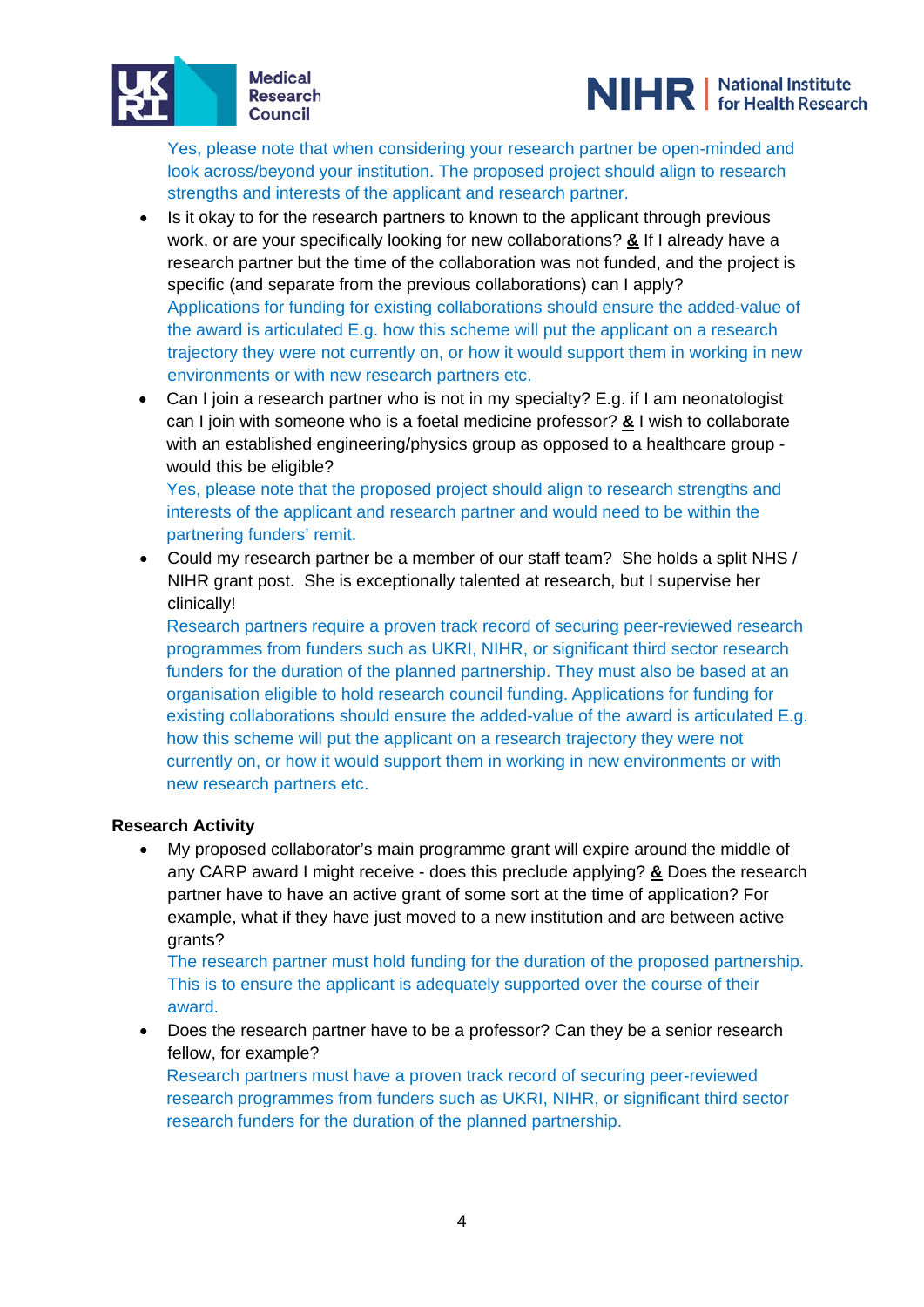



Yes, please note that when considering your research partner be open-minded and look across/beyond your institution. The proposed project should align to research strengths and interests of the applicant and research partner.

- Is it okay to for the research partners to known to the applicant through previous work, or are your specifically looking for new collaborations? **&** If I already have a research partner but the time of the collaboration was not funded, and the project is specific (and separate from the previous collaborations) can I apply? Applications for funding for existing collaborations should ensure the added-value of the award is articulated E.g. how this scheme will put the applicant on a research trajectory they were not currently on, or how it would support them in working in new environments or with new research partners etc.
- Can I join a research partner who is not in my specialty? E.g. if I am neonatologist can I join with someone who is a foetal medicine professor? **&** I wish to collaborate with an established engineering/physics group as opposed to a healthcare group would this be eligible?

Yes, please note that the proposed project should align to research strengths and interests of the applicant and research partner and would need to be within the partnering funders' remit.

• Could my research partner be a member of our staff team? She holds a split NHS / NIHR grant post. She is exceptionally talented at research, but I supervise her clinically!

Research partners require a proven track record of securing peer-reviewed research programmes from funders such as UKRI, NIHR, or significant third sector research funders for the duration of the planned partnership. They must also be based at an organisation eligible to hold research council funding. Applications for funding for existing collaborations should ensure the added-value of the award is articulated E.g. how this scheme will put the applicant on a research trajectory they were not currently on, or how it would support them in working in new environments or with new research partners etc.

### **Research Activity**

• My proposed collaborator's main programme grant will expire around the middle of any CARP award I might receive - does this preclude applying? **&** Does the research partner have to have an active grant of some sort at the time of application? For example, what if they have just moved to a new institution and are between active grants?

The research partner must hold funding for the duration of the proposed partnership. This is to ensure the applicant is adequately supported over the course of their award.

• Does the research partner have to be a professor? Can they be a senior research fellow, for example?

Research partners must have a proven track record of securing peer-reviewed research programmes from funders such as UKRI, NIHR, or significant third sector research funders for the duration of the planned partnership.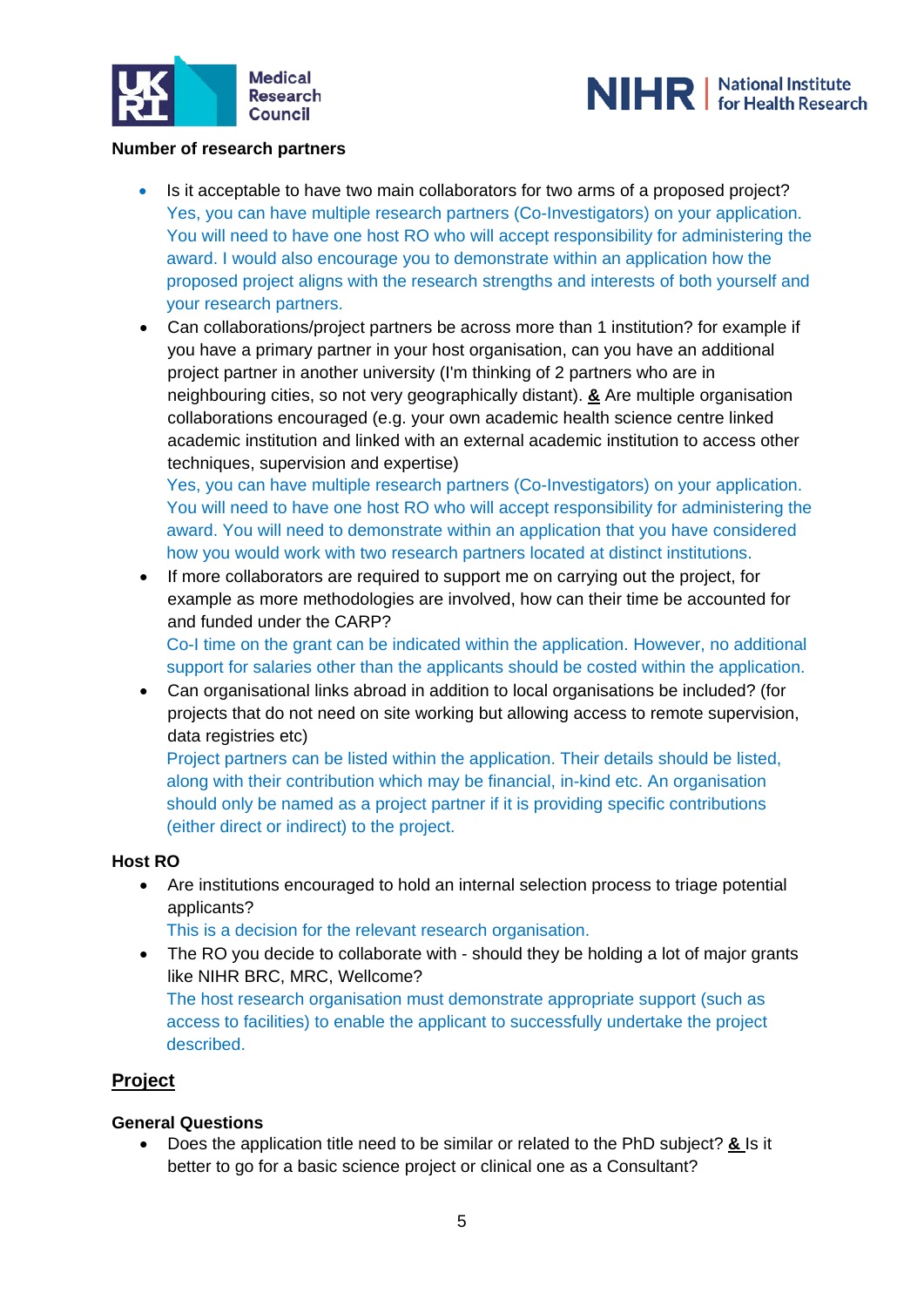



### **Number of research partners**

- Is it acceptable to have two main collaborators for two arms of a proposed project? Yes, you can have multiple research partners (Co-Investigators) on your application. You will need to have one host RO who will accept responsibility for administering the award. I would also encourage you to demonstrate within an application how the proposed project aligns with the research strengths and interests of both yourself and your research partners.
- Can collaborations/project partners be across more than 1 institution? for example if you have a primary partner in your host organisation, can you have an additional project partner in another university (I'm thinking of 2 partners who are in neighbouring cities, so not very geographically distant). **&** Are multiple organisation collaborations encouraged (e.g. your own academic health science centre linked academic institution and linked with an external academic institution to access other techniques, supervision and expertise)

Yes, you can have multiple research partners (Co-Investigators) on your application. You will need to have one host RO who will accept responsibility for administering the award. You will need to demonstrate within an application that you have considered how you would work with two research partners located at distinct institutions.

• If more collaborators are required to support me on carrying out the project, for example as more methodologies are involved, how can their time be accounted for and funded under the CARP?

Co-I time on the grant can be indicated within the application. However, no additional support for salaries other than the applicants should be costed within the application.

• Can organisational links abroad in addition to local organisations be included? (for projects that do not need on site working but allowing access to remote supervision, data registries etc)

Project partners can be listed within the application. Their details should be listed, along with their contribution which may be financial, in-kind etc. An organisation should only be named as a project partner if it is providing specific contributions (either direct or indirect) to the project.

#### **Host RO**

• Are institutions encouraged to hold an internal selection process to triage potential applicants?

This is a decision for the relevant research organisation.

• The RO you decide to collaborate with - should they be holding a lot of major grants like NIHR BRC, MRC, Wellcome?

The host research organisation must demonstrate appropriate support (such as access to facilities) to enable the applicant to successfully undertake the project described.

## **Project**

#### **General Questions**

• Does the application title need to be similar or related to the PhD subject? **&** Is it better to go for a basic science project or clinical one as a Consultant?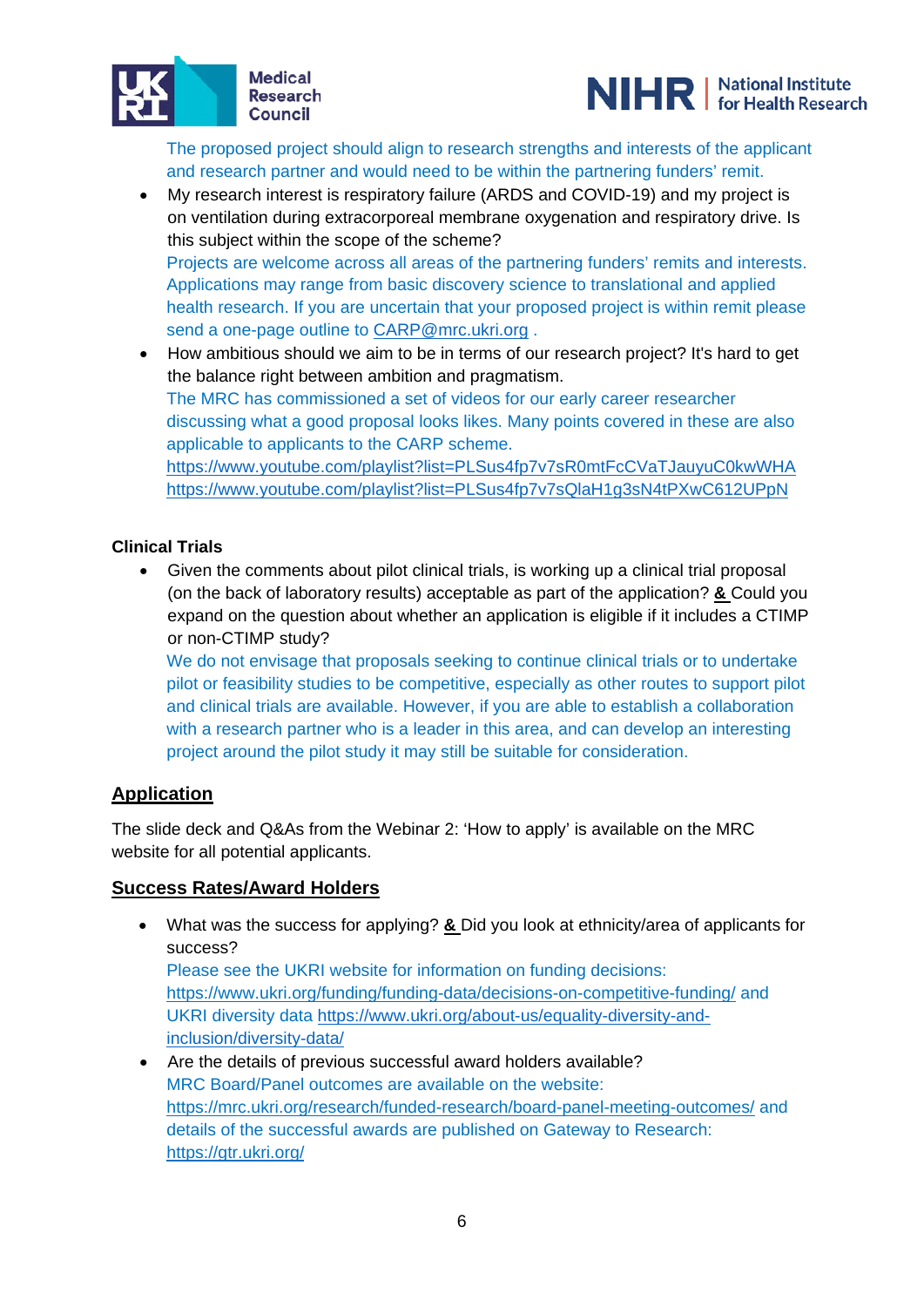



The proposed project should align to research strengths and interests of the applicant and research partner and would need to be within the partnering funders' remit.

- My research interest is respiratory failure (ARDS and COVID-19) and my project is on ventilation during extracorporeal membrane oxygenation and respiratory drive. Is this subject within the scope of the scheme? Projects are welcome across all areas of the partnering funders' remits and interests. Applications may range from basic discovery science to translational and applied health research. If you are uncertain that your proposed project is within remit please send a one-page outline to [CARP@mrc.ukri.org](mailto:CARP@mrc.ukri.org).
- How ambitious should we aim to be in terms of our research project? It's hard to get the balance right between ambition and pragmatism. The MRC has commissioned a set of videos for our early career researcher discussing what a good proposal looks likes. Many points covered in these are also applicable to applicants to the CARP scheme. <https://www.youtube.com/playlist?list=PLSus4fp7v7sR0mtFcCVaTJauyuC0kwWHA> <https://www.youtube.com/playlist?list=PLSus4fp7v7sQlaH1g3sN4tPXwC612UPpN>

## **Clinical Trials**

• Given the comments about pilot clinical trials, is working up a clinical trial proposal (on the back of laboratory results) acceptable as part of the application? **&** Could you expand on the question about whether an application is eligible if it includes a CTIMP or non-CTIMP study?

We do not envisage that proposals seeking to continue clinical trials or to undertake pilot or feasibility studies to be competitive, especially as other routes to support pilot and clinical trials are available. However, if you are able to establish a collaboration with a research partner who is a leader in this area, and can develop an interesting project around the pilot study it may still be suitable for consideration.

## **Application**

The slide deck and Q&As from the Webinar 2: 'How to apply' is available on the MRC website for all potential applicants.

## **Success Rates/Award Holders**

- What was the success for applying? **&** Did you look at ethnicity/area of applicants for success? Please see the UKRI website for information on funding decisions: <https://www.ukri.org/funding/funding-data/decisions-on-competitive-funding/> and UKRI diversity data [https://www.ukri.org/about-us/equality-diversity-and](https://www.ukri.org/about-us/equality-diversity-and-inclusion/diversity-data/)[inclusion/diversity-data/](https://www.ukri.org/about-us/equality-diversity-and-inclusion/diversity-data/)
- Are the details of previous successful award holders available? MRC Board/Panel outcomes are available on the website: <https://mrc.ukri.org/research/funded-research/board-panel-meeting-outcomes/> and details of the successful awards are published on Gateway to Research: <https://gtr.ukri.org/>